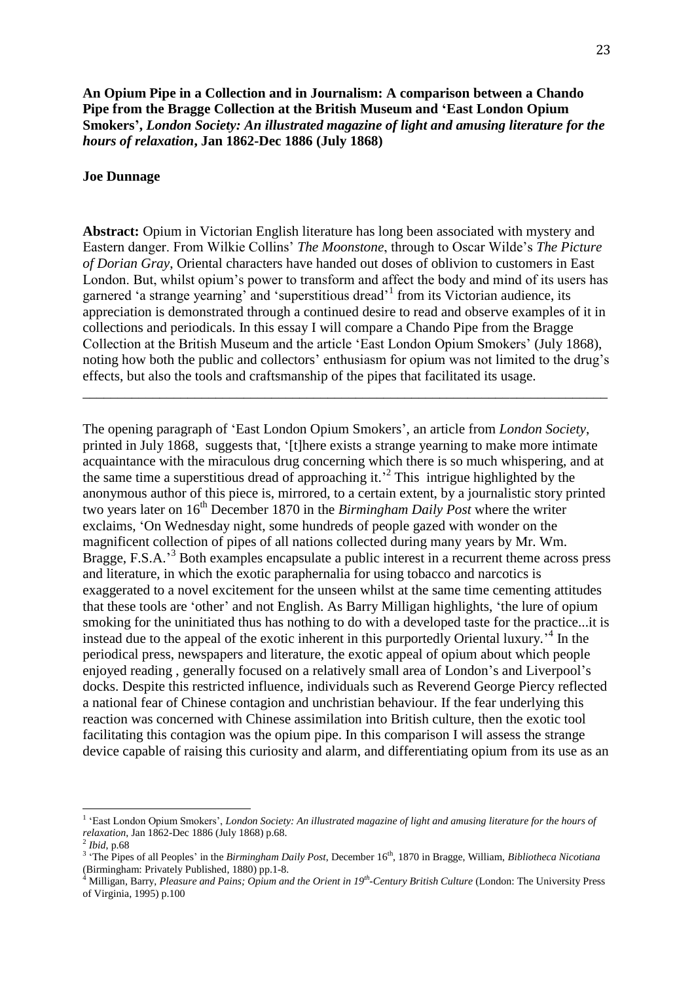**An Opium Pipe in a Collection and in Journalism: A comparison between a Chando Pipe from the Bragge Collection at the British Museum and 'East London Opium Smokers',** *London Society: An illustrated magazine of light and amusing literature for the hours of relaxation***, Jan 1862-Dec 1886 (July 1868)**

## **Joe Dunnage**

**Abstract:** Opium in Victorian English literature has long been associated with mystery and Eastern danger. From Wilkie Collins' *The Moonstone*, through to Oscar Wilde's *The Picture of Dorian Gray*, Oriental characters have handed out doses of oblivion to customers in East London. But, whilst opium's power to transform and affect the body and mind of its users has garnered 'a strange yearning' and 'superstitious dread'<sup>1</sup> from its Victorian audience, its appreciation is demonstrated through a continued desire to read and observe examples of it in collections and periodicals. In this essay I will compare a Chando Pipe from the Bragge Collection at the British Museum and the article 'East London Opium Smokers' (July 1868), noting how both the public and collectors' enthusiasm for opium was not limited to the drug's effects, but also the tools and craftsmanship of the pipes that facilitated its usage.

\_\_\_\_\_\_\_\_\_\_\_\_\_\_\_\_\_\_\_\_\_\_\_\_\_\_\_\_\_\_\_\_\_\_\_\_\_\_\_\_\_\_\_\_\_\_\_\_\_\_\_\_\_\_\_\_\_\_\_\_\_\_\_\_\_\_\_\_\_\_\_\_\_\_\_

The opening paragraph of 'East London Opium Smokers', an article from *London Society*, printed in July 1868, suggests that, '[t]here exists a strange yearning to make more intimate acquaintance with the miraculous drug concerning which there is so much whispering, and at the same time a superstitious dread of approaching it.' 2 This intrigue highlighted by the anonymous author of this piece is, mirrored, to a certain extent, by a journalistic story printed two years later on 16<sup>th</sup> December 1870 in the *Birmingham Daily Post* where the writer exclaims, 'On Wednesday night, some hundreds of people gazed with wonder on the magnificent collection of pipes of all nations collected during many years by Mr. Wm. Bragge, F.S.A.<sup>3</sup> Both examples encapsulate a public interest in a recurrent theme across press and literature, in which the exotic paraphernalia for using tobacco and narcotics is exaggerated to a novel excitement for the unseen whilst at the same time cementing attitudes that these tools are 'other' and not English. As Barry Milligan highlights, 'the lure of opium smoking for the uninitiated thus has nothing to do with a developed taste for the practice...it is instead due to the appeal of the exotic inherent in this purportedly Oriental luxury.' 4 In the periodical press, newspapers and literature, the exotic appeal of opium about which people enjoyed reading , generally focused on a relatively small area of London's and Liverpool's docks. Despite this restricted influence, individuals such as Reverend George Piercy reflected a national fear of Chinese contagion and unchristian behaviour. If the fear underlying this reaction was concerned with Chinese assimilation into British culture, then the exotic tool facilitating this contagion was the opium pipe. In this comparison I will assess the strange device capable of raising this curiosity and alarm, and differentiating opium from its use as an

<sup>&</sup>lt;sup>1</sup> 'East London Opium Smokers', *London Society: An illustrated magazine of light and amusing literature for the hours of relaxation*, Jan 1862-Dec 1886 (July 1868) p.68. 2 *Ibid*, p.68

<sup>&</sup>lt;sup>3</sup> 'The Pipes of all Peoples' in the *Birmingham Daily Post*, December 16<sup>th</sup>, 1870 in Bragge, William, *Bibliotheca Nicotiana* (Birmingham: Privately Published, 1880) pp.1-8.

<sup>4</sup> Milligan, Barry, *Pleasure and Pains; Opium and the Orient in 19th -Century British Culture* (London: The University Press of Virginia, 1995) p.100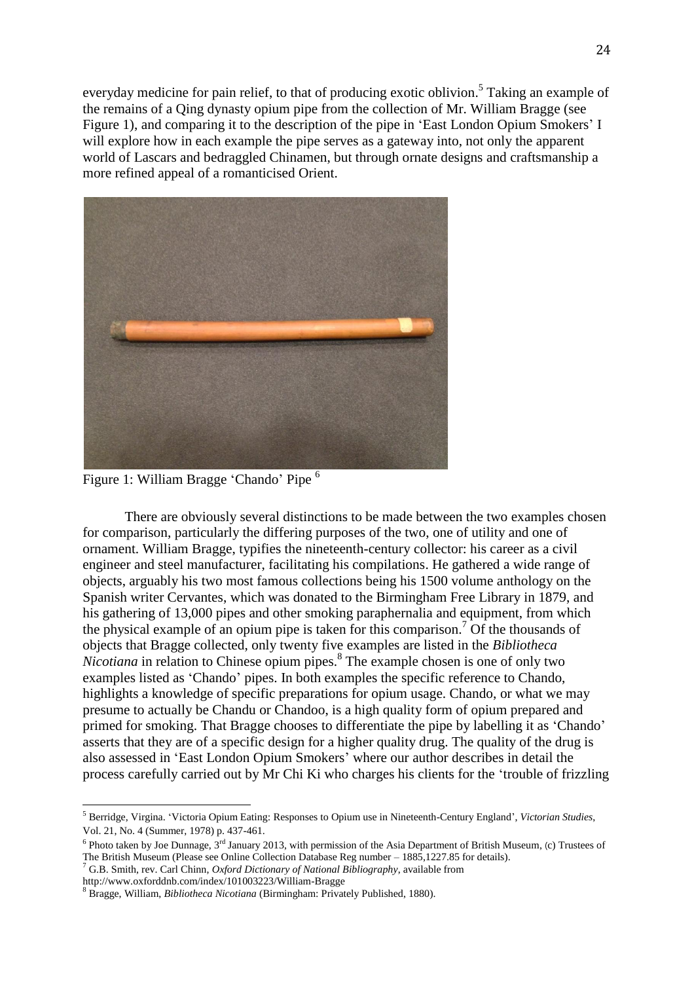everyday medicine for pain relief, to that of producing exotic oblivion.<sup>5</sup> Taking an example of the remains of a Qing dynasty opium pipe from the collection of Mr. William Bragge (see Figure 1), and comparing it to the description of the pipe in 'East London Opium Smokers' I will explore how in each example the pipe serves as a gateway into, not only the apparent world of Lascars and bedraggled Chinamen, but through ornate designs and craftsmanship a more refined appeal of a romanticised Orient.



Figure 1: William Bragge 'Chando' Pipe <sup>6</sup>

There are obviously several distinctions to be made between the two examples chosen for comparison, particularly the differing purposes of the two, one of utility and one of ornament. William Bragge, typifies the nineteenth-century collector: his career as a civil engineer and steel manufacturer, facilitating his compilations. He gathered a wide range of objects, arguably his two most famous collections being his 1500 volume anthology on the Spanish writer Cervantes, which was donated to the Birmingham Free Library in 1879, and his gathering of 13,000 pipes and other smoking paraphernalia and equipment, from which the physical example of an opium pipe is taken for this comparison.<sup>7</sup> Of the thousands of objects that Bragge collected, only twenty five examples are listed in the *Bibliotheca*  Nicotiana in relation to Chinese opium pipes.<sup>8</sup> The example chosen is one of only two examples listed as 'Chando' pipes. In both examples the specific reference to Chando, highlights a knowledge of specific preparations for opium usage. Chando, or what we may presume to actually be Chandu or Chandoo, is a high quality form of opium prepared and primed for smoking. That Bragge chooses to differentiate the pipe by labelling it as 'Chando' asserts that they are of a specific design for a higher quality drug. The quality of the drug is also assessed in 'East London Opium Smokers' where our author describes in detail the process carefully carried out by Mr Chi Ki who charges his clients for the 'trouble of frizzling

<sup>5</sup> Berridge, Virgina. 'Victoria Opium Eating: Responses to Opium use in Nineteenth-Century England', *Victorian Studies*, Vol. 21, No. 4 (Summer, 1978) p. 437-461.

<sup>&</sup>lt;sup>6</sup> Photo taken by Joe Dunnage, 3<sup>rd</sup> January 2013, with permission of the Asia Department of British Museum, (c) Trustees of The British Museum (Please see Online Collection Database Reg number – 1885,1227.85 for details).

<sup>7</sup> G.B. Smith, rev. Carl Chinn, *Oxford Dictionary of National Bibliography*, available from

http://www.oxforddnb.com/index/101003223/William-Bragge

<sup>8</sup> Bragge, William, *Bibliotheca Nicotiana* (Birmingham: Privately Published, 1880).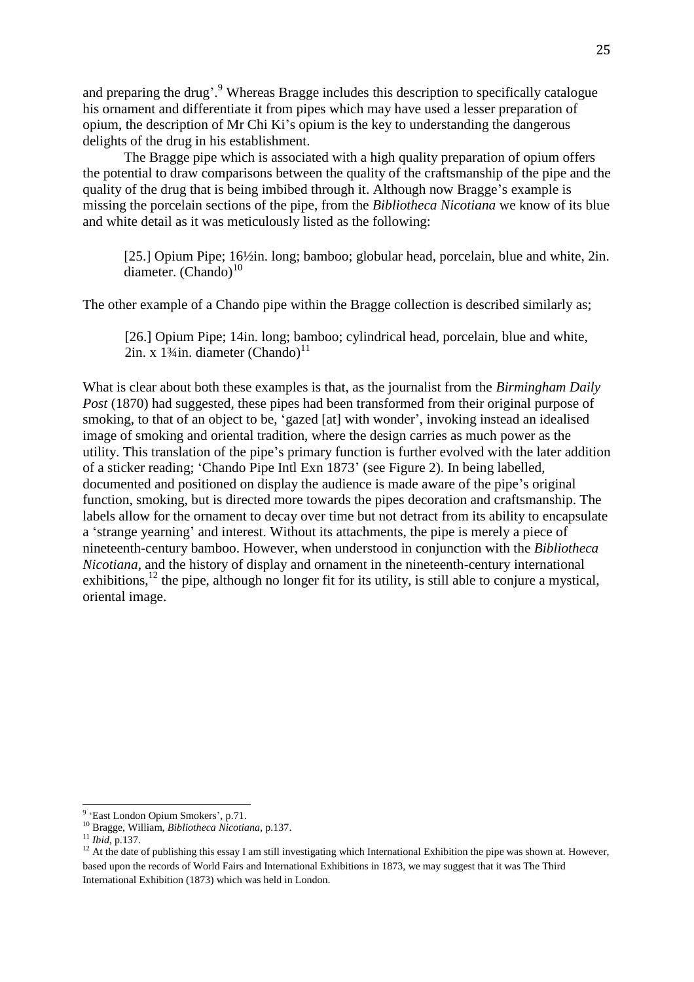and preparing the drug'.<sup>9</sup> Whereas Bragge includes this description to specifically catalogue his ornament and differentiate it from pipes which may have used a lesser preparation of opium, the description of Mr Chi Ki's opium is the key to understanding the dangerous delights of the drug in his establishment.

The Bragge pipe which is associated with a high quality preparation of opium offers the potential to draw comparisons between the quality of the craftsmanship of the pipe and the quality of the drug that is being imbibed through it. Although now Bragge's example is missing the porcelain sections of the pipe, from the *Bibliotheca Nicotiana* we know of its blue and white detail as it was meticulously listed as the following:

[25.] Opium Pipe; 16½in. long; bamboo; globular head, porcelain, blue and white, 2in. diameter.  $(Chando)<sup>10</sup>$ 

The other example of a Chando pipe within the Bragge collection is described similarly as;

[26.] Opium Pipe; 14in. long; bamboo; cylindrical head, porcelain, blue and white,  $2$ in. x 1¼in. diameter (Chando)<sup>11</sup>

What is clear about both these examples is that, as the journalist from the *Birmingham Daily Post* (1870) had suggested, these pipes had been transformed from their original purpose of smoking, to that of an object to be, 'gazed [at] with wonder', invoking instead an idealised image of smoking and oriental tradition, where the design carries as much power as the utility. This translation of the pipe's primary function is further evolved with the later addition of a sticker reading; 'Chando Pipe Intl Exn 1873' (see Figure 2). In being labelled, documented and positioned on display the audience is made aware of the pipe's original function, smoking, but is directed more towards the pipes decoration and craftsmanship. The labels allow for the ornament to decay over time but not detract from its ability to encapsulate a 'strange yearning' and interest. Without its attachments, the pipe is merely a piece of nineteenth-century bamboo. However, when understood in conjunction with the *Bibliotheca Nicotiana*, and the history of display and ornament in the nineteenth-century international exhibitions,  $^{12}$  the pipe, although no longer fit for its utility, is still able to conjure a mystical, oriental image.

<sup>&</sup>lt;sup>9</sup> 'East London Opium Smokers', p.71.

<sup>10</sup> Bragge, William, *Bibliotheca Nicotiana*, p.137.

<sup>11</sup> *Ibid*, p.137.

 $12$  At the date of publishing this essay I am still investigating which International Exhibition the pipe was shown at. However, based upon the records of World Fairs and International Exhibitions in 1873, we may suggest that it was The Third International Exhibition (1873) which was held in London.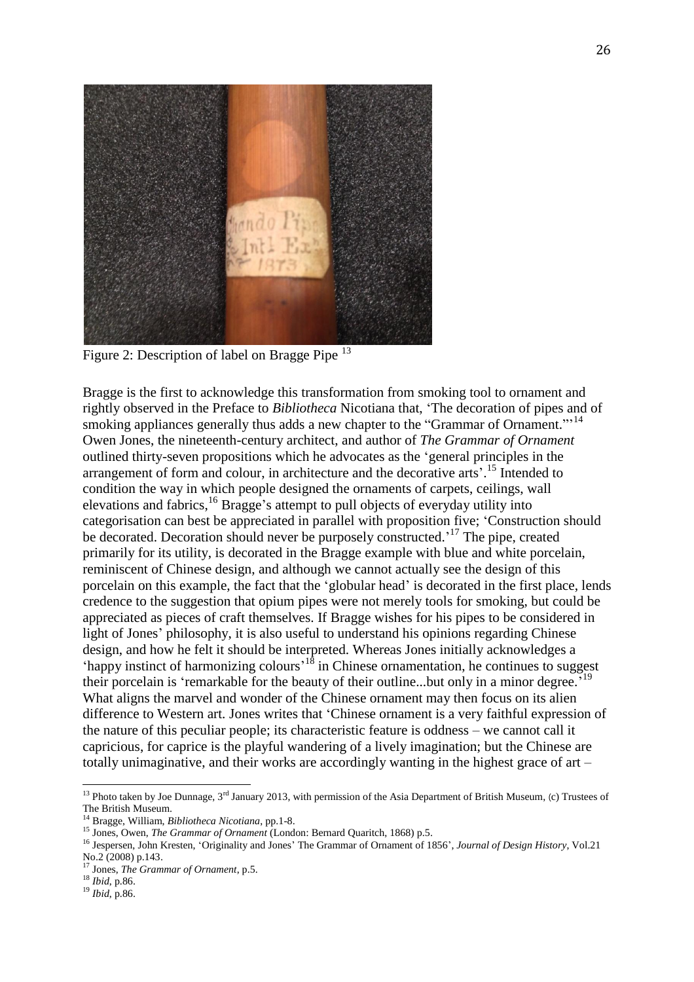

Figure 2: Description of label on Bragge Pipe<sup>13</sup>

Bragge is the first to acknowledge this transformation from smoking tool to ornament and rightly observed in the Preface to *Bibliotheca* Nicotiana that, 'The decoration of pipes and of smoking appliances generally thus adds a new chapter to the "Grammar of Ornament."<sup>14</sup> Owen Jones, the nineteenth-century architect, and author of *The Grammar of Ornament* outlined thirty-seven propositions which he advocates as the 'general principles in the arrangement of form and colour, in architecture and the decorative arts'.<sup>15</sup> Intended to condition the way in which people designed the ornaments of carpets, ceilings, wall elevations and fabrics,<sup>16</sup> Bragge's attempt to pull objects of everyday utility into categorisation can best be appreciated in parallel with proposition five; 'Construction should be decorated. Decoration should never be purposely constructed.<sup>17</sup> The pipe, created primarily for its utility, is decorated in the Bragge example with blue and white porcelain, reminiscent of Chinese design, and although we cannot actually see the design of this porcelain on this example, the fact that the 'globular head' is decorated in the first place, lends credence to the suggestion that opium pipes were not merely tools for smoking, but could be appreciated as pieces of craft themselves. If Bragge wishes for his pipes to be considered in light of Jones' philosophy, it is also useful to understand his opinions regarding Chinese design, and how he felt it should be interpreted. Whereas Jones initially acknowledges a 'happy instinct of harmonizing colours'<sup>18</sup> in Chinese ornamentation, he continues to suggest their porcelain is 'remarkable for the beauty of their outline...but only in a minor degree.<sup>519</sup> What aligns the marvel and wonder of the Chinese ornament may then focus on its alien difference to Western art. Jones writes that 'Chinese ornament is a very faithful expression of the nature of this peculiar people; its characteristic feature is oddness – we cannot call it capricious, for caprice is the playful wandering of a lively imagination; but the Chinese are totally unimaginative, and their works are accordingly wanting in the highest grace of art –

<sup>&</sup>lt;sup>13</sup> Photo taken by Joe Dunnage,  $3<sup>rd</sup>$  January 2013, with permission of the Asia Department of British Museum, (c) Trustees of The British Museum.

<sup>14</sup> Bragge, William, *Bibliotheca Nicotiana*, pp.1-8.

<sup>15</sup> Jones, Owen, *The Grammar of Ornament* (London: Bernard Quaritch, 1868) p.5.

<sup>16</sup> Jespersen, John Kresten, 'Originality and Jones' The Grammar of Ornament of 1856', *Journal of Design History*, Vol.21 No.2 (2008) p.143.

<sup>17</sup> Jones, *The Grammar of Ornament*, p.5.

<sup>18</sup> *Ibid*, p.86.

<sup>19</sup> *Ibid*, p.86.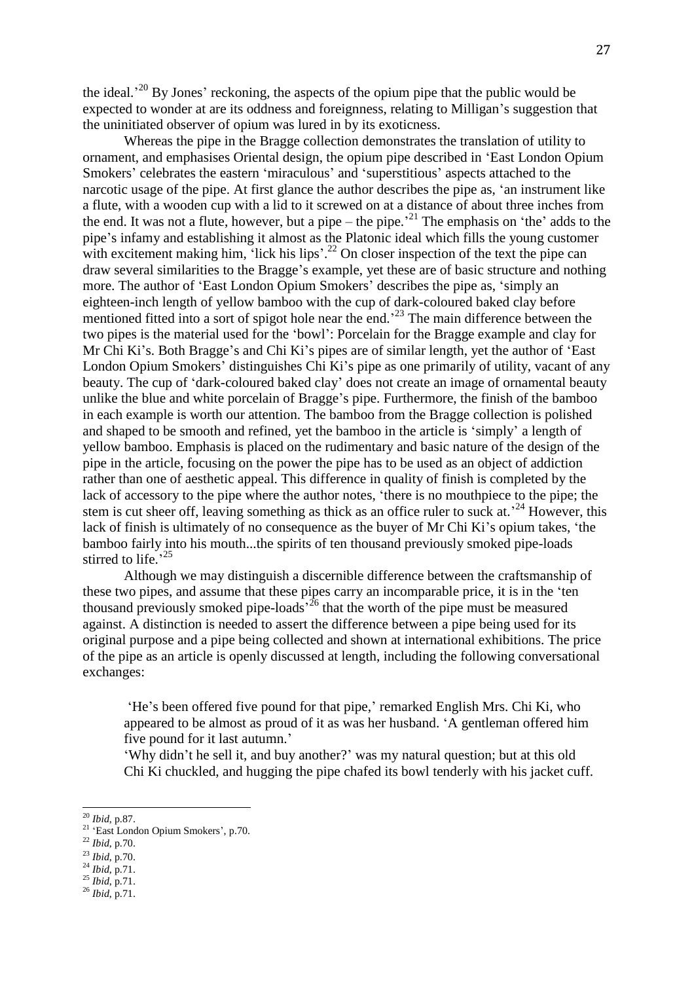the ideal.<sup>20</sup> By Jones' reckoning, the aspects of the opium pipe that the public would be expected to wonder at are its oddness and foreignness, relating to Milligan's suggestion that the uninitiated observer of opium was lured in by its exoticness.

Whereas the pipe in the Bragge collection demonstrates the translation of utility to ornament, and emphasises Oriental design, the opium pipe described in 'East London Opium Smokers' celebrates the eastern 'miraculous' and 'superstitious' aspects attached to the narcotic usage of the pipe. At first glance the author describes the pipe as, 'an instrument like a flute, with a wooden cup with a lid to it screwed on at a distance of about three inches from the end. It was not a flute, however, but a pipe – the pipe.<sup>21</sup> The emphasis on 'the' adds to the pipe's infamy and establishing it almost as the Platonic ideal which fills the young customer with excitement making him, 'lick his lips'.<sup>22</sup> On closer inspection of the text the pipe can draw several similarities to the Bragge's example, yet these are of basic structure and nothing more. The author of 'East London Opium Smokers' describes the pipe as, 'simply an eighteen-inch length of yellow bamboo with the cup of dark-coloured baked clay before mentioned fitted into a sort of spigot hole near the end.<sup>23</sup> The main difference between the two pipes is the material used for the 'bowl': Porcelain for the Bragge example and clay for Mr Chi Ki's. Both Bragge's and Chi Ki's pipes are of similar length, yet the author of 'East London Opium Smokers' distinguishes Chi Ki's pipe as one primarily of utility, vacant of any beauty. The cup of 'dark-coloured baked clay' does not create an image of ornamental beauty unlike the blue and white porcelain of Bragge's pipe. Furthermore, the finish of the bamboo in each example is worth our attention. The bamboo from the Bragge collection is polished and shaped to be smooth and refined, yet the bamboo in the article is 'simply' a length of yellow bamboo. Emphasis is placed on the rudimentary and basic nature of the design of the pipe in the article, focusing on the power the pipe has to be used as an object of addiction rather than one of aesthetic appeal. This difference in quality of finish is completed by the lack of accessory to the pipe where the author notes, 'there is no mouthpiece to the pipe; the stem is cut sheer off, leaving something as thick as an office ruler to suck at.<sup>24</sup> However, this lack of finish is ultimately of no consequence as the buyer of Mr Chi Ki's opium takes, 'the bamboo fairly into his mouth...the spirits of ten thousand previously smoked pipe-loads stirred to life.<sup>25</sup>

Although we may distinguish a discernible difference between the craftsmanship of these two pipes, and assume that these pipes carry an incomparable price, it is in the 'ten thousand previously smoked pipe-loads<sup> $26$ </sup> that the worth of the pipe must be measured against. A distinction is needed to assert the difference between a pipe being used for its original purpose and a pipe being collected and shown at international exhibitions. The price of the pipe as an article is openly discussed at length, including the following conversational exchanges:

'He's been offered five pound for that pipe,' remarked English Mrs. Chi Ki, who appeared to be almost as proud of it as was her husband. 'A gentleman offered him five pound for it last autumn.'

'Why didn't he sell it, and buy another?' was my natural question; but at this old Chi Ki chuckled, and hugging the pipe chafed its bowl tenderly with his jacket cuff.

<sup>20</sup> *Ibid*, p.87.

<sup>&</sup>lt;sup>21</sup> 'East London Opium Smokers', p.70.

<sup>22</sup> *Ibid*, p.70.

<sup>23</sup> *Ibid*, p.70.

<sup>24</sup> *Ibid*, p.71.

 $^{25}$  *Ibid*, p.71.

<sup>26</sup> *Ibid*, p.71.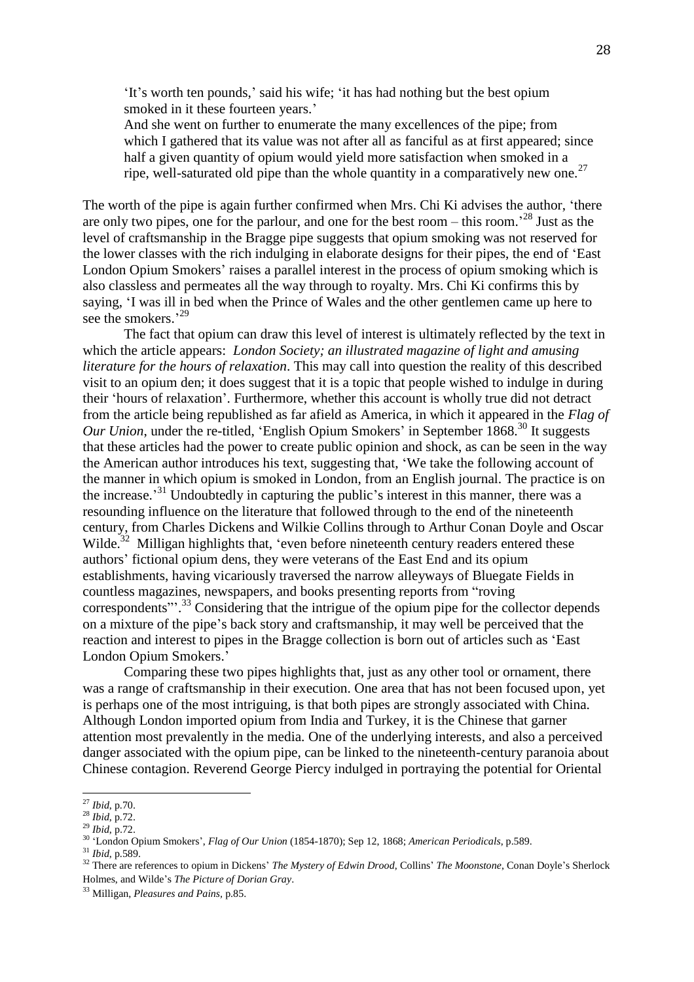'It's worth ten pounds,' said his wife; 'it has had nothing but the best opium smoked in it these fourteen years.'

And she went on further to enumerate the many excellences of the pipe; from which I gathered that its value was not after all as fanciful as at first appeared; since half a given quantity of opium would yield more satisfaction when smoked in a ripe, well-saturated old pipe than the whole quantity in a comparatively new one.<sup>27</sup>

The worth of the pipe is again further confirmed when Mrs. Chi Ki advises the author, 'there are only two pipes, one for the parlour, and one for the best room – this room.<sup>228</sup> Just as the level of craftsmanship in the Bragge pipe suggests that opium smoking was not reserved for the lower classes with the rich indulging in elaborate designs for their pipes, the end of 'East London Opium Smokers' raises a parallel interest in the process of opium smoking which is also classless and permeates all the way through to royalty. Mrs. Chi Ki confirms this by saying, 'I was ill in bed when the Prince of Wales and the other gentlemen came up here to see the smokers.'<sup>29</sup>

The fact that opium can draw this level of interest is ultimately reflected by the text in which the article appears: *London Society; an illustrated magazine of light and amusing literature for the hours of relaxation*. This may call into question the reality of this described visit to an opium den; it does suggest that it is a topic that people wished to indulge in during their 'hours of relaxation'. Furthermore, whether this account is wholly true did not detract from the article being republished as far afield as America, in which it appeared in the *Flag of Our Union*, under the re-titled, 'English Opium Smokers' in September 1868.<sup>30</sup> It suggests that these articles had the power to create public opinion and shock, as can be seen in the way the American author introduces his text, suggesting that, 'We take the following account of the manner in which opium is smoked in London, from an English journal. The practice is on the increase.<sup>31</sup> Undoubtedly in capturing the public's interest in this manner, there was a resounding influence on the literature that followed through to the end of the nineteenth century, from Charles Dickens and Wilkie Collins through to Arthur Conan Doyle and Oscar Wilde.<sup>32</sup> Milligan highlights that, 'even before nineteenth century readers entered these authors' fictional opium dens, they were veterans of the East End and its opium establishments, having vicariously traversed the narrow alleyways of Bluegate Fields in countless magazines, newspapers, and books presenting reports from "roving correspondents"<sup>33</sup> Considering that the intrigue of the opium pipe for the collector depends on a mixture of the pipe's back story and craftsmanship, it may well be perceived that the reaction and interest to pipes in the Bragge collection is born out of articles such as 'East London Opium Smokers.'

Comparing these two pipes highlights that, just as any other tool or ornament, there was a range of craftsmanship in their execution. One area that has not been focused upon, yet is perhaps one of the most intriguing, is that both pipes are strongly associated with China. Although London imported opium from India and Turkey, it is the Chinese that garner attention most prevalently in the media. One of the underlying interests, and also a perceived danger associated with the opium pipe, can be linked to the nineteenth-century paranoia about Chinese contagion. Reverend George Piercy indulged in portraying the potential for Oriental

<sup>27</sup> *Ibid*, p.70.

<sup>28</sup> *Ibid*, p.72.

<sup>29</sup> *Ibid*, p.72.

<sup>30</sup> 'London Opium Smokers', *Flag of Our Union* (1854-1870); Sep 12, 1868; *American Periodicals*, p.589.

<sup>31</sup> *Ibid*, p.589.

<sup>&</sup>lt;sup>32</sup> There are references to opium in Dickens' *The Mystery of Edwin Drood*, Collins' *The Moonstone*, Conan Doyle's Sherlock Holmes, and Wilde's *The Picture of Dorian Gray*.

<sup>33</sup> Milligan, *Pleasures and Pains,* p.85.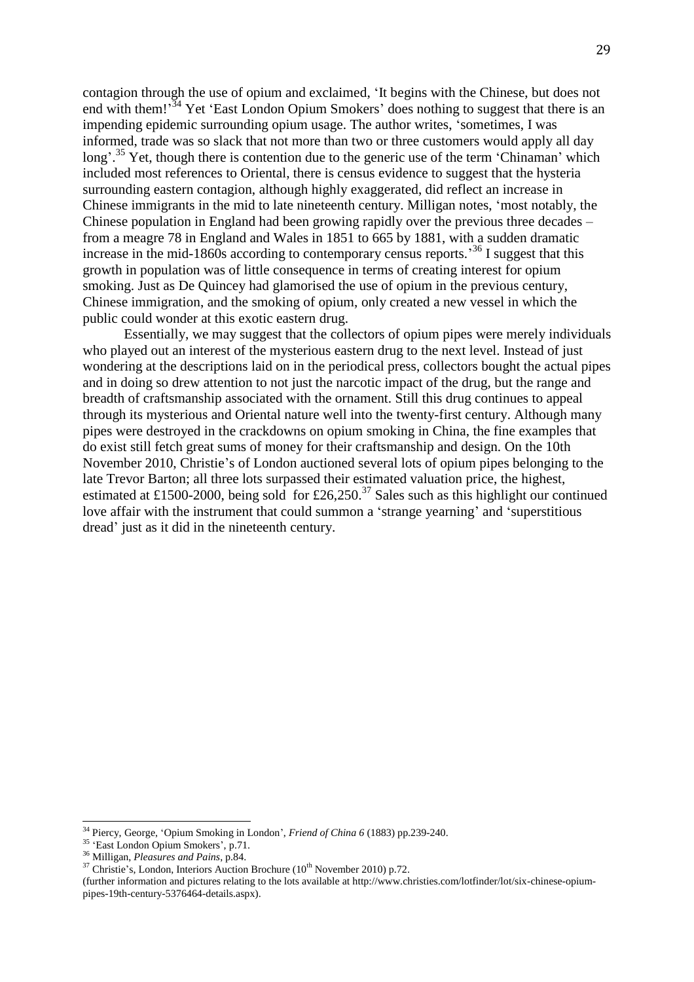contagion through the use of opium and exclaimed, 'It begins with the Chinese, but does not end with them!<sup>34</sup> Yet 'East London Opium Smokers' does nothing to suggest that there is an impending epidemic surrounding opium usage. The author writes, 'sometimes, I was informed, trade was so slack that not more than two or three customers would apply all day long'.<sup>35</sup> Yet, though there is contention due to the generic use of the term 'Chinaman' which included most references to Oriental, there is census evidence to suggest that the hysteria surrounding eastern contagion, although highly exaggerated, did reflect an increase in Chinese immigrants in the mid to late nineteenth century. Milligan notes, 'most notably, the Chinese population in England had been growing rapidly over the previous three decades – from a meagre 78 in England and Wales in 1851 to 665 by 1881, with a sudden dramatic increase in the mid-1860s according to contemporary census reports.<sup>36</sup> I suggest that this growth in population was of little consequence in terms of creating interest for opium smoking. Just as De Quincey had glamorised the use of opium in the previous century, Chinese immigration, and the smoking of opium, only created a new vessel in which the public could wonder at this exotic eastern drug.

Essentially, we may suggest that the collectors of opium pipes were merely individuals who played out an interest of the mysterious eastern drug to the next level. Instead of just wondering at the descriptions laid on in the periodical press, collectors bought the actual pipes and in doing so drew attention to not just the narcotic impact of the drug, but the range and breadth of craftsmanship associated with the ornament. Still this drug continues to appeal through its mysterious and Oriental nature well into the twenty-first century. Although many pipes were destroyed in the crackdowns on opium smoking in China, the fine examples that do exist still fetch great sums of money for their craftsmanship and design. On the 10th November 2010, Christie's of London auctioned several lots of opium pipes belonging to the late Trevor Barton; all three lots surpassed their estimated valuation price, the highest, estimated at £1500-2000, being sold for £26,250.<sup>37</sup> Sales such as this highlight our continued love affair with the instrument that could summon a 'strange yearning' and 'superstitious dread' just as it did in the nineteenth century.

<sup>34</sup> Piercy, George, 'Opium Smoking in London', *Friend of China 6* (1883) pp.239-240.

<sup>35</sup> 'East London Opium Smokers', p.71.

<sup>36</sup> Milligan, *Pleasures and Pains*, p.84.

 $37$  Christie's, London, Interiors Auction Brochure ( $10^{th}$  November 2010) p.72.

<sup>(</sup>further information and pictures relating to the lots available at http://www.christies.com/lotfinder/lot/six-chinese-opiumpipes-19th-century-5376464-details.aspx).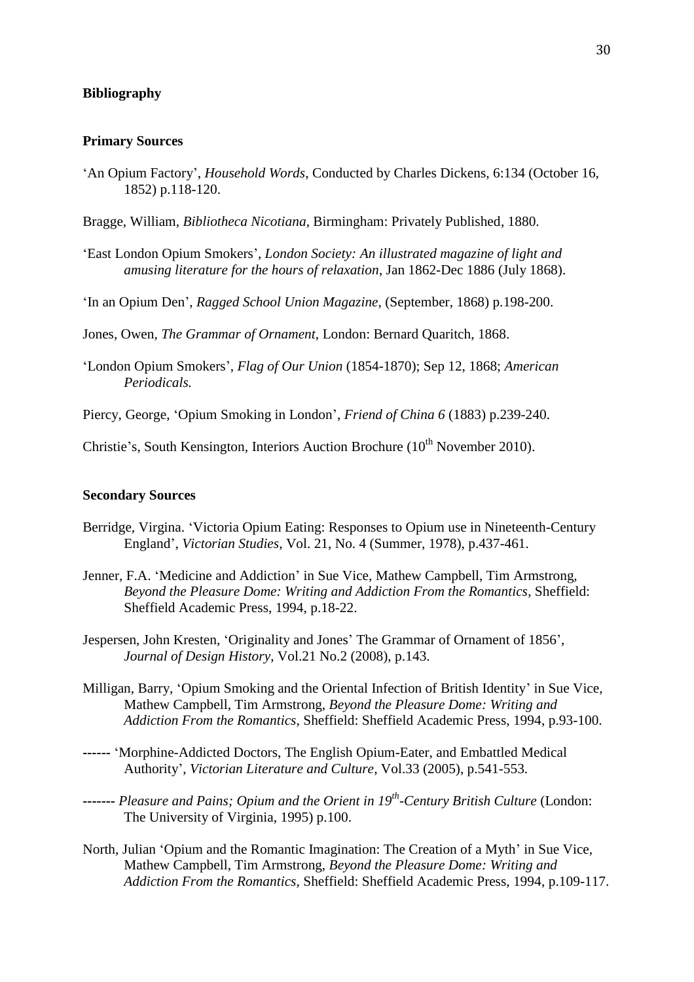## **Bibliography**

## **Primary Sources**

'An Opium Factory', *Household Words*, Conducted by Charles Dickens, 6:134 (October 16, 1852) p.118-120.

Bragge, William, *Bibliotheca Nicotiana*, Birmingham: Privately Published, 1880.

- 'East London Opium Smokers', *London Society: An illustrated magazine of light and amusing literature for the hours of relaxation*, Jan 1862-Dec 1886 (July 1868).
- 'In an Opium Den', *Ragged School Union Magazine*, (September, 1868) p.198-200.

Jones, Owen, *The Grammar of Ornament*, London: Bernard Quaritch, 1868.

- 'London Opium Smokers', *Flag of Our Union* (1854-1870); Sep 12, 1868; *American Periodicals.*
- Piercy, George, 'Opium Smoking in London', *Friend of China 6* (1883) p.239-240.

Christie's, South Kensington, Interiors Auction Brochure  $(10<sup>th</sup>$  November 2010).

## **Secondary Sources**

- Berridge, Virgina. 'Victoria Opium Eating: Responses to Opium use in Nineteenth-Century England', *Victorian Studies*, Vol. 21, No. 4 (Summer, 1978), p.437-461.
- Jenner, F.A. 'Medicine and Addiction' in Sue Vice, Mathew Campbell, Tim Armstrong, *Beyond the Pleasure Dome: Writing and Addiction From the Romantics*, Sheffield: Sheffield Academic Press, 1994, p.18-22.
- Jespersen, John Kresten, 'Originality and Jones' The Grammar of Ornament of 1856', *Journal of Design History*, Vol.21 No.2 (2008), p.143.
- Milligan, Barry, 'Opium Smoking and the Oriental Infection of British Identity' in Sue Vice, Mathew Campbell, Tim Armstrong, *Beyond the Pleasure Dome: Writing and Addiction From the Romantics*, Sheffield: Sheffield Academic Press, 1994, p.93-100.
- **------** 'Morphine-Addicted Doctors, The English Opium-Eater, and Embattled Medical Authority', *[Victorian Literature and Culture](http://journals.cambridge.org/action/displayJournal?jid=VLC)*, Vol.33 (2005), p.541-553.
- **-------** *Pleasure and Pains; Opium and the Orient in 19th -Century British Culture* (London: The University of Virginia, 1995) p.100.
- North, Julian 'Opium and the Romantic Imagination: The Creation of a Myth' in Sue Vice, Mathew Campbell, Tim Armstrong, *Beyond the Pleasure Dome: Writing and Addiction From the Romantics*, Sheffield: Sheffield Academic Press, 1994, p.109-117.